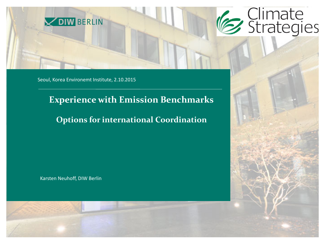

Seoul, Korea Environemt Institute, 2.10.2015

### **Experience with Emission Benchmarks**

### **Options for international Coordination**

Karsten Neuhoff, DIW Berlin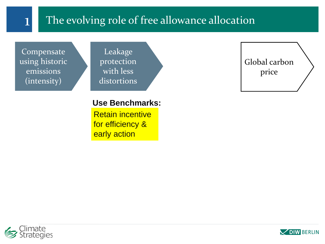## 1 The evolving role of free allowance allocation

Compensate using historic emissions (intensity)

Leakage protection with less distortions

#### **Use Benchmarks:**

Retain incentive for efficiency & early action

Global carbon price



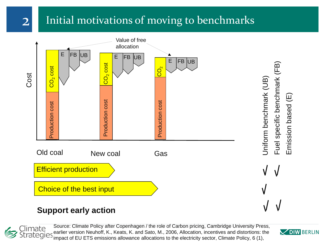## 2 Initial motivations of moving to benchmarks



#### **Support early action**

Climate tegies 3

Source: Climate Policy after Copenhagen / the role of Carbon pricing, Cambridge University Press, earlier version Neuhoff, K., Keats, K. and Sato, M., 2006, Allocation, incentives and distortions: the impact of EU ETS emissions allowance allocations to the electricity sector, Climate Policy, 6 (1),

**VDIW BERLIN** 

Fuel specific benchmark (FB)

Fuel specific benchmark (FB)

Emission based (E)

Emission based (E)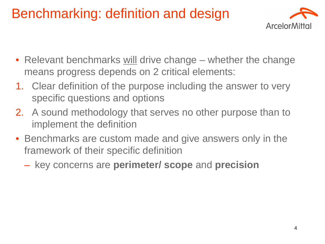# Benchmarking: definition and design



- Relevant benchmarks will drive change whether the change means progress depends on 2 critical elements:
- 1. Clear definition of the purpose including the answer to very specific questions and options
- 2. A sound methodology that serves no other purpose than to implement the definition
- Benchmarks are custom made and give answers only in the framework of their specific definition
	- key concerns are **perimeter/ scope** and **precision**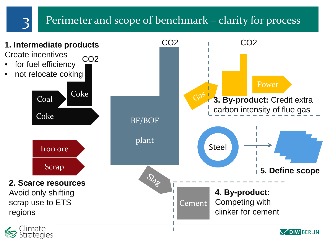

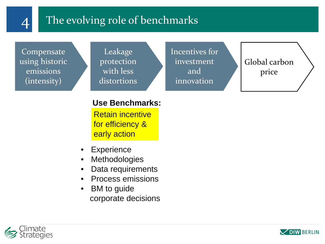

## 4 The evolving role of benchmarks

Compensate using historic emissions (intensity)

Leakage protection with less distortions Incentives for investment and innovation

Global carbon price

#### **Use Benchmarks:**

Retain incentive for efficiency & early action

- Experience
- **Methodologies**
- Data requirements
- Process emissions
- BM to guide corporate decisions



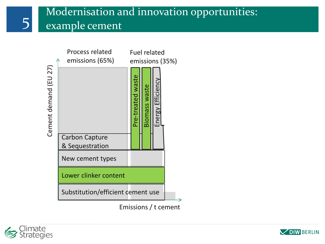## Modernisation and innovation opportunities: 5 example cement



Emissions / t cement



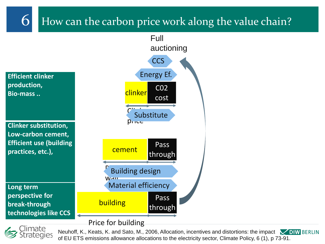## 6 How can the carbon price work along the value chain?





Neuhoff, K., Keats, K. and Sato, M., 2006, Allocation, incentives and distortions: the impact **VIIW** BERLIN of EU ETS emissions allowance allocations to the electricity sector, Climate Policy, 6 (1), p 73-91.

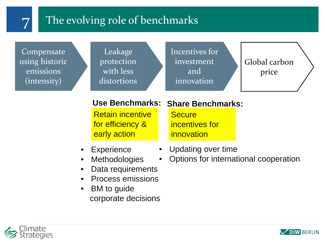

## 7 The evolving role of benchmarks

Compensate using historic emissions (intensity)

Leakage protection with less distortions

Incentives for investment and innovation

Global carbon price

Retain incentive for efficiency & early action

### **Use Benchmarks: Share Benchmarks:**

**Secure** incentives for innovation

- Updating over time
- Options for international cooperation
- Data requirements

**Methodologies** 

• Experience

- Process emissions
- **BM** to guide corporate decisions



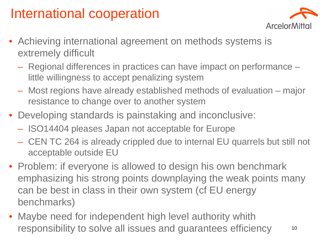# International cooperation



- Achieving international agreement on methods systems is extremely difficult
	- Regional differences in practices can have impact on performance little willingness to accept penalizing system
	- Most regions have already established methods of evaluation major resistance to change over to another system
- Developing standards is painstaking and inconclusive:
	- ISO14404 pleases Japan not acceptable for Europe
	- CEN TC 264 is already crippled due to internal EU quarrels but still not acceptable outside EU
- Problem: if everyone is allowed to design his own benchmark emphasizing his strong points downplaying the weak points many can be best in class in their own system (cf EU energy benchmarks)
- Maybe need for independent high level authority whith responsibility to solve all issues and guarantees efficiency <sup>10</sup>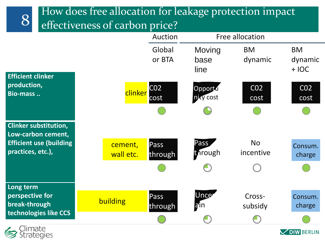

**V DIW BERLIN** 

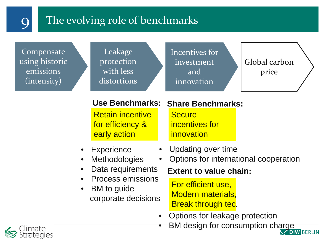## The evolving role of benchmarks

Compensate using historic emissions (intensity)

Leakage protection with less distortions

Incentives for investment and innovation

Global carbon price

Retain incentive for efficiency & early action

## **Use Benchmarks: Share Benchmarks:**

**Secure** incentives for innovation

- Updating over time
- Options for international cooperation

### Data requirements

• Process emissions

**Methodologies** 

• Experience

**BM** to guide corporate decisions

### **Extent to value chain:**

For efficient use, Modern materials, Break through tec.

- Options for leakage protection
- **BM design for consumption charge**